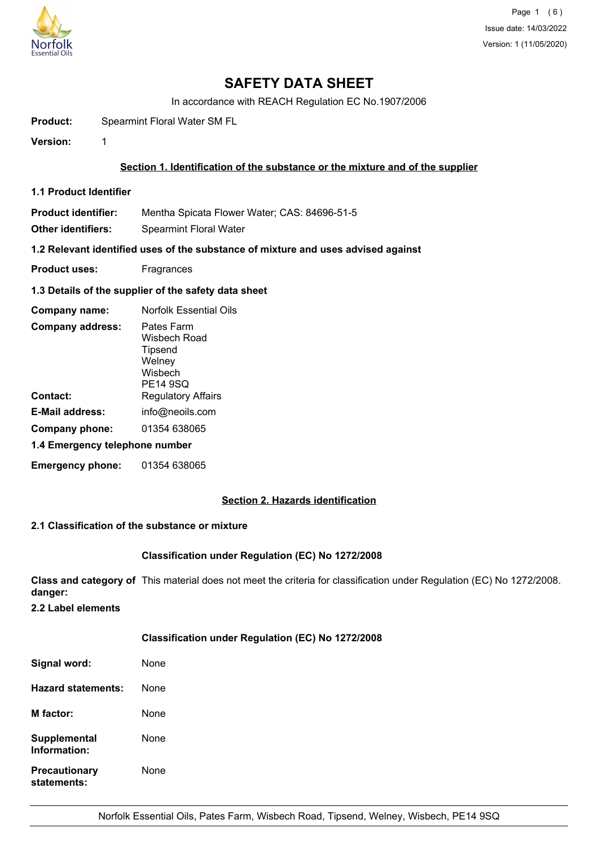

# **SAFETY DATA SHEET**

In accordance with REACH Regulation EC No.1907/2006

**Product:** Spearmint Floral Water SM FL

**Version:** 1

## **Section 1. Identification of the substance or the mixture and of the supplier**

**1.1 Product Identifier**

**Product identifier:** Mentha Spicata Flower Water; CAS: 84696-51-5

**Other identifiers:** Spearmint Floral Water

**1.2 Relevant identified uses of the substance of mixture and uses advised against**

**Product uses:** Fragrances

## **1.3 Details of the supplier of the safety data sheet**

| Company name:                  | <b>Norfolk Essential Oils</b>                                          |  |
|--------------------------------|------------------------------------------------------------------------|--|
| <b>Company address:</b>        | Pates Farm<br>Wisbech Road<br>Tipsend<br>Welney<br>Wisbech<br>PE14 9SQ |  |
| Contact:                       | <b>Regulatory Affairs</b>                                              |  |
| E-Mail address:                | info@neoils.com                                                        |  |
| Company phone:                 | 01354 638065                                                           |  |
| 1.4 Emergency telephone number |                                                                        |  |
| <b>Emergency phone:</b>        | 01354 638065                                                           |  |

## **Section 2. Hazards identification**

## **2.1 Classification of the substance or mixture**

## **Classification under Regulation (EC) No 1272/2008**

**Class and category of** This material does not meet the criteria for classification under Regulation (EC) No 1272/2008. **danger:**

**2.2 Label elements**

## **Classification under Regulation (EC) No 1272/2008**

| Signal word:                        | None |
|-------------------------------------|------|
| Hazard statements:                  | None |
| <b>M</b> factor:                    | None |
| Supplemental<br>Information:        | None |
| <b>Precautionary</b><br>statements: | None |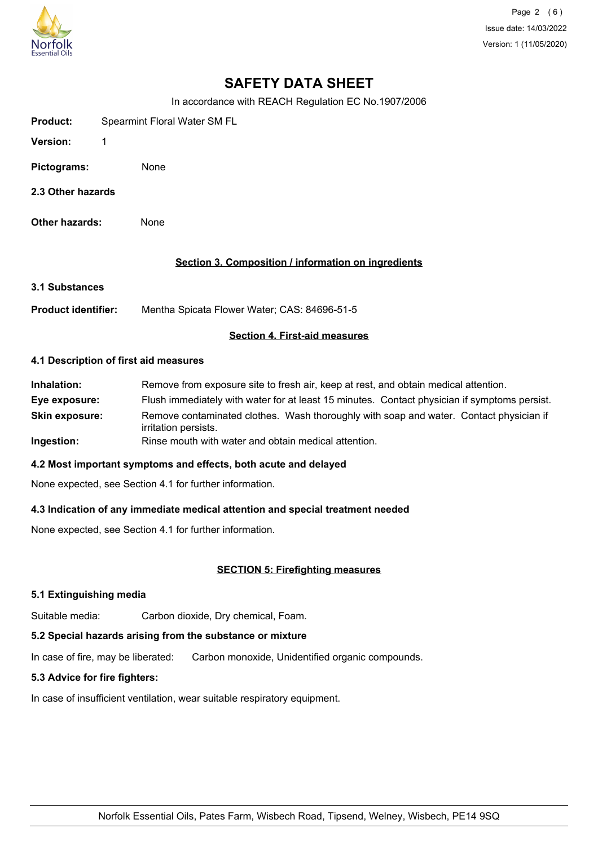

Page 2 (6) Issue date: 14/03/2022 Version: 1 (11/05/2020)

# **SAFETY DATA SHEET**

In accordance with REACH Regulation EC No.1907/2006

| Product:    | Spearmint Floral Water SM FL |  |
|-------------|------------------------------|--|
| Version:    |                              |  |
| Pictograms: | None                         |  |

- **2.3 Other hazards**
- **Other hazards:** None

## **Section 3. Composition / information on ingredients**

**3.1 Substances**

**Product identifier:** Mentha Spicata Flower Water; CAS: 84696-51-5

## **Section 4. First-aid measures**

#### **4.1 Description of first aid measures**

**Inhalation:** Remove from exposure site to fresh air, keep at rest, and obtain medical attention. **Eye exposure:** Flush immediately with water for at least 15 minutes. Contact physician if symptoms persist. **Skin exposure:** Remove contaminated clothes. Wash thoroughly with soap and water. Contact physician if irritation persists. **Ingestion:** Rinse mouth with water and obtain medical attention.

## **4.2 Most important symptoms and effects, both acute and delayed**

None expected, see Section 4.1 for further information.

## **4.3 Indication of any immediate medical attention and special treatment needed**

None expected, see Section 4.1 for further information.

## **SECTION 5: Firefighting measures**

## **5.1 Extinguishing media**

Suitable media: Carbon dioxide, Dry chemical, Foam.

## **5.2 Special hazards arising from the substance or mixture**

In case of fire, may be liberated: Carbon monoxide, Unidentified organic compounds.

## **5.3 Advice for fire fighters:**

In case of insufficient ventilation, wear suitable respiratory equipment.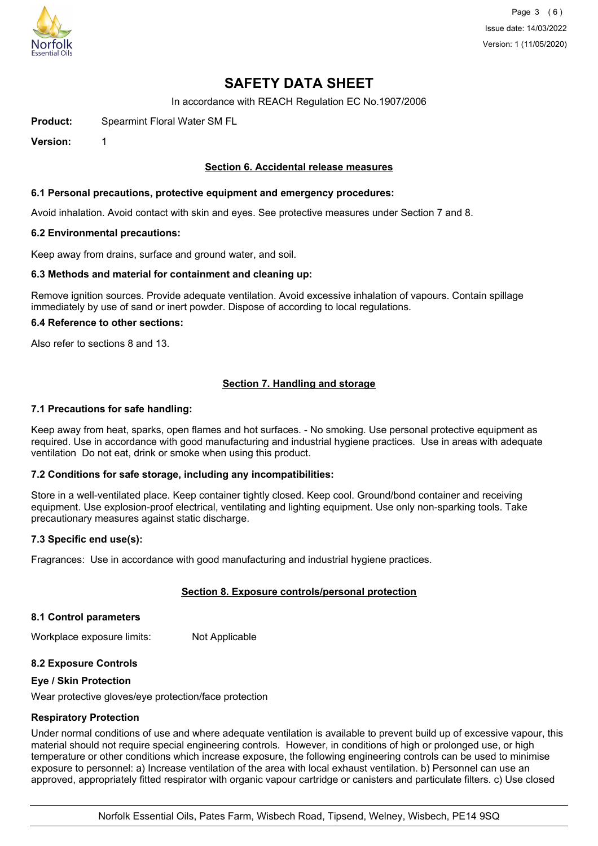

Page 3 (6) Issue date: 14/03/2022 Version: 1 (11/05/2020)

# **SAFETY DATA SHEET**

In accordance with REACH Regulation EC No.1907/2006

**Product:** Spearmint Floral Water SM FL

**Version:** 1

#### **Section 6. Accidental release measures**

#### **6.1 Personal precautions, protective equipment and emergency procedures:**

Avoid inhalation. Avoid contact with skin and eyes. See protective measures under Section 7 and 8.

#### **6.2 Environmental precautions:**

Keep away from drains, surface and ground water, and soil.

#### **6.3 Methods and material for containment and cleaning up:**

Remove ignition sources. Provide adequate ventilation. Avoid excessive inhalation of vapours. Contain spillage immediately by use of sand or inert powder. Dispose of according to local regulations.

#### **6.4 Reference to other sections:**

Also refer to sections 8 and 13.

## **Section 7. Handling and storage**

#### **7.1 Precautions for safe handling:**

Keep away from heat, sparks, open flames and hot surfaces. - No smoking. Use personal protective equipment as required. Use in accordance with good manufacturing and industrial hygiene practices. Use in areas with adequate ventilation Do not eat, drink or smoke when using this product.

## **7.2 Conditions for safe storage, including any incompatibilities:**

Store in a well-ventilated place. Keep container tightly closed. Keep cool. Ground/bond container and receiving equipment. Use explosion-proof electrical, ventilating and lighting equipment. Use only non-sparking tools. Take precautionary measures against static discharge.

#### **7.3 Specific end use(s):**

Fragrances: Use in accordance with good manufacturing and industrial hygiene practices.

## **Section 8. Exposure controls/personal protection**

#### **8.1 Control parameters**

Workplace exposure limits: Not Applicable

## **8.2 Exposure Controls**

#### **Eye / Skin Protection**

Wear protective gloves/eye protection/face protection

#### **Respiratory Protection**

Under normal conditions of use and where adequate ventilation is available to prevent build up of excessive vapour, this material should not require special engineering controls. However, in conditions of high or prolonged use, or high temperature or other conditions which increase exposure, the following engineering controls can be used to minimise exposure to personnel: a) Increase ventilation of the area with local exhaust ventilation. b) Personnel can use an approved, appropriately fitted respirator with organic vapour cartridge or canisters and particulate filters. c) Use closed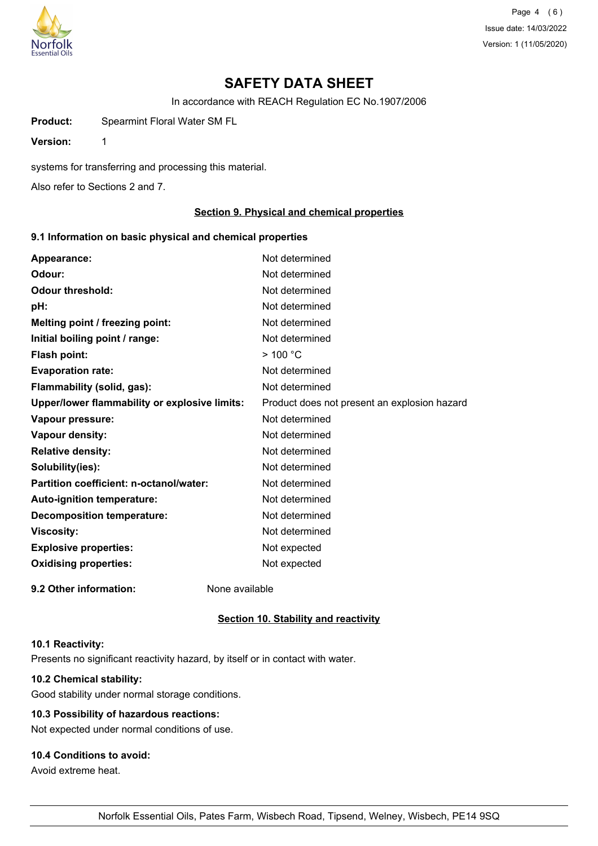

Page 4 (6) Issue date: 14/03/2022 Version: 1 (11/05/2020)

# **SAFETY DATA SHEET**

In accordance with REACH Regulation EC No.1907/2006

**Product:** Spearmint Floral Water SM FL

**Version:** 1

systems for transferring and processing this material.

Also refer to Sections 2 and 7.

#### **Section 9. Physical and chemical properties**

### **9.1 Information on basic physical and chemical properties**

| Appearance:                                   | Not determined                               |
|-----------------------------------------------|----------------------------------------------|
| Odour:                                        | Not determined                               |
| <b>Odour threshold:</b>                       | Not determined                               |
| pH:                                           | Not determined                               |
| Melting point / freezing point:               | Not determined                               |
| Initial boiling point / range:                | Not determined                               |
| Flash point:                                  | $>$ 100 °C                                   |
| <b>Evaporation rate:</b>                      | Not determined                               |
| Flammability (solid, gas):                    | Not determined                               |
| Upper/lower flammability or explosive limits: | Product does not present an explosion hazard |
| Vapour pressure:                              | Not determined                               |
| Vapour density:                               | Not determined                               |
| <b>Relative density:</b>                      | Not determined                               |
| Solubility(ies):                              | Not determined                               |
| Partition coefficient: n-octanol/water:       | Not determined                               |
| Auto-ignition temperature:                    | Not determined                               |
| <b>Decomposition temperature:</b>             | Not determined                               |
| <b>Viscosity:</b>                             | Not determined                               |
| <b>Explosive properties:</b>                  | Not expected                                 |
| <b>Oxidising properties:</b>                  | Not expected                                 |
| 9.2 Other information:                        | None available                               |

### **Section 10. Stability and reactivity**

#### **10.1 Reactivity:**

Presents no significant reactivity hazard, by itself or in contact with water.

## **10.2 Chemical stability:**

Good stability under normal storage conditions.

## **10.3 Possibility of hazardous reactions:**

Not expected under normal conditions of use.

## **10.4 Conditions to avoid:**

Avoid extreme heat.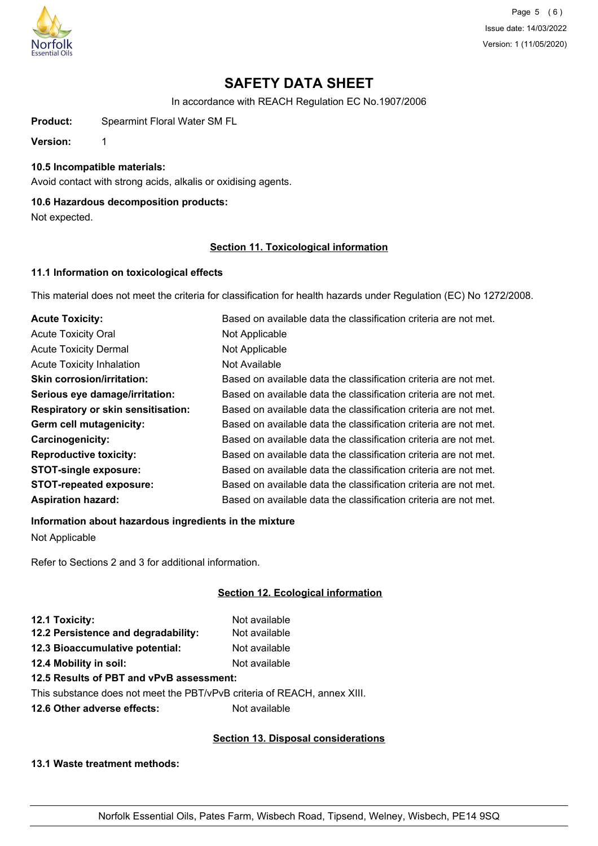

Page 5 (6) Issue date: 14/03/2022 Version: 1 (11/05/2020)

# **SAFETY DATA SHEET**

In accordance with REACH Regulation EC No.1907/2006

**Product:** Spearmint Floral Water SM FL

**Version:** 1

**10.5 Incompatible materials:**

Avoid contact with strong acids, alkalis or oxidising agents.

## **10.6 Hazardous decomposition products:**

Not expected.

## **Section 11. Toxicological information**

## **11.1 Information on toxicological effects**

This material does not meet the criteria for classification for health hazards under Regulation (EC) No 1272/2008.

| <b>Acute Toxicity:</b>                    | Based on available data the classification criteria are not met. |
|-------------------------------------------|------------------------------------------------------------------|
| <b>Acute Toxicity Oral</b>                | Not Applicable                                                   |
| <b>Acute Toxicity Dermal</b>              | Not Applicable                                                   |
| <b>Acute Toxicity Inhalation</b>          | Not Available                                                    |
| <b>Skin corrosion/irritation:</b>         | Based on available data the classification criteria are not met. |
| Serious eye damage/irritation:            | Based on available data the classification criteria are not met. |
| <b>Respiratory or skin sensitisation:</b> | Based on available data the classification criteria are not met. |
| Germ cell mutagenicity:                   | Based on available data the classification criteria are not met. |
| <b>Carcinogenicity:</b>                   | Based on available data the classification criteria are not met. |
| <b>Reproductive toxicity:</b>             | Based on available data the classification criteria are not met. |
| <b>STOT-single exposure:</b>              | Based on available data the classification criteria are not met. |
| <b>STOT-repeated exposure:</b>            | Based on available data the classification criteria are not met. |
| <b>Aspiration hazard:</b>                 | Based on available data the classification criteria are not met. |

## **Information about hazardous ingredients in the mixture**

Not Applicable

Refer to Sections 2 and 3 for additional information.

## **Section 12. Ecological information**

| 12.1 Toxicity:                      | Not available |
|-------------------------------------|---------------|
| 12.2 Persistence and degradability: | Not available |
| 12.3 Bioaccumulative potential:     | Not available |
| 12.4 Mobility in soil:              | Not available |
|                                     |               |

## **12.5 Results of PBT and vPvB assessment:**

This substance does not meet the PBT/vPvB criteria of REACH, annex XIII.

**12.6 Other adverse effects:** Not available

## **Section 13. Disposal considerations**

**13.1 Waste treatment methods:**